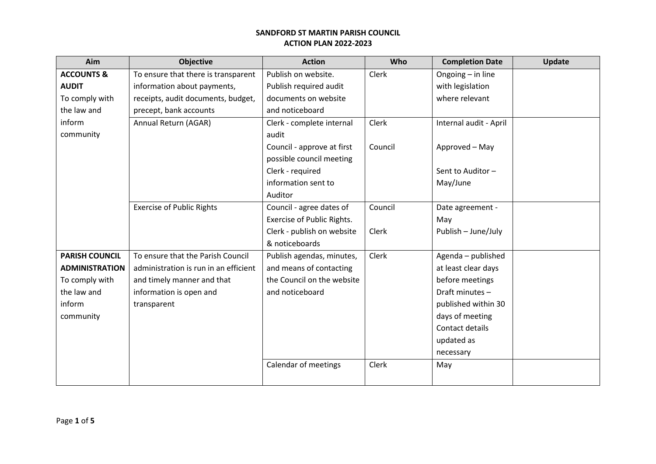| <b>Objective</b>                      | <b>Action</b>                     | Who     | <b>Completion Date</b> | Update |
|---------------------------------------|-----------------------------------|---------|------------------------|--------|
| To ensure that there is transparent   | Publish on website.               | Clerk   | Ongoing - in line      |        |
| information about payments,           | Publish required audit            |         | with legislation       |        |
| receipts, audit documents, budget,    | documents on website              |         | where relevant         |        |
| precept, bank accounts                | and noticeboard                   |         |                        |        |
| Annual Return (AGAR)                  | Clerk - complete internal         | Clerk   | Internal audit - April |        |
|                                       | audit                             |         |                        |        |
|                                       | Council - approve at first        | Council | Approved - May         |        |
|                                       | possible council meeting          |         |                        |        |
|                                       | Clerk - required                  |         | Sent to Auditor-       |        |
|                                       | information sent to               |         | May/June               |        |
|                                       | Auditor                           |         |                        |        |
| <b>Exercise of Public Rights</b>      | Council - agree dates of          | Council | Date agreement -       |        |
|                                       | <b>Exercise of Public Rights.</b> |         | May                    |        |
|                                       | Clerk - publish on website        | Clerk   | Publish - June/July    |        |
|                                       | & noticeboards                    |         |                        |        |
| To ensure that the Parish Council     | Publish agendas, minutes,         | Clerk   | Agenda - published     |        |
| administration is run in an efficient | and means of contacting           |         | at least clear days    |        |
| and timely manner and that            | the Council on the website        |         | before meetings        |        |
| information is open and               | and noticeboard                   |         | Draft minutes-         |        |
| transparent                           |                                   |         | published within 30    |        |
|                                       |                                   |         | days of meeting        |        |
|                                       |                                   |         | Contact details        |        |
|                                       |                                   |         | updated as             |        |
|                                       |                                   |         | necessary              |        |
|                                       | Calendar of meetings              | Clerk   | May                    |        |
|                                       |                                   |         |                        |        |
|                                       |                                   |         |                        |        |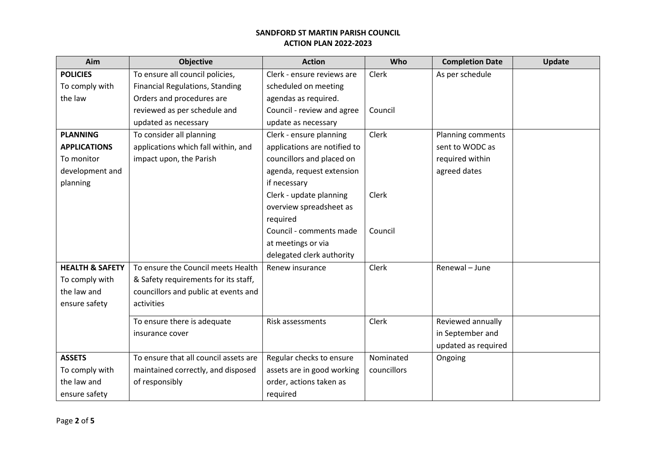| Aim                        | <b>Objective</b>                       | <b>Action</b>                | Who         | <b>Completion Date</b> | Update |
|----------------------------|----------------------------------------|------------------------------|-------------|------------------------|--------|
| <b>POLICIES</b>            | To ensure all council policies,        | Clerk - ensure reviews are   | Clerk       | As per schedule        |        |
| To comply with             | <b>Financial Regulations, Standing</b> | scheduled on meeting         |             |                        |        |
| the law                    | Orders and procedures are              | agendas as required.         |             |                        |        |
|                            | reviewed as per schedule and           | Council - review and agree   | Council     |                        |        |
|                            | updated as necessary                   | update as necessary          |             |                        |        |
| <b>PLANNING</b>            | To consider all planning               | Clerk - ensure planning      | Clerk       | Planning comments      |        |
| <b>APPLICATIONS</b>        | applications which fall within, and    | applications are notified to |             | sent to WODC as        |        |
| To monitor                 | impact upon, the Parish                | councillors and placed on    |             | required within        |        |
| development and            |                                        | agenda, request extension    |             | agreed dates           |        |
| planning                   |                                        | if necessary                 |             |                        |        |
|                            |                                        | Clerk - update planning      | Clerk       |                        |        |
|                            |                                        | overview spreadsheet as      |             |                        |        |
|                            |                                        | required                     |             |                        |        |
|                            |                                        | Council - comments made      | Council     |                        |        |
|                            |                                        | at meetings or via           |             |                        |        |
|                            |                                        | delegated clerk authority    |             |                        |        |
| <b>HEALTH &amp; SAFETY</b> | To ensure the Council meets Health     | Renew insurance              | Clerk       | Renewal - June         |        |
| To comply with             | & Safety requirements for its staff,   |                              |             |                        |        |
| the law and                | councillors and public at events and   |                              |             |                        |        |
| ensure safety              | activities                             |                              |             |                        |        |
|                            | To ensure there is adequate            | Risk assessments             | Clerk       | Reviewed annually      |        |
|                            | insurance cover                        |                              |             | in September and       |        |
|                            |                                        |                              |             | updated as required    |        |
| <b>ASSETS</b>              | To ensure that all council assets are  | Regular checks to ensure     | Nominated   | Ongoing                |        |
| To comply with             | maintained correctly, and disposed     | assets are in good working   | councillors |                        |        |
| the law and                | of responsibly                         | order, actions taken as      |             |                        |        |
| ensure safety              |                                        | required                     |             |                        |        |
|                            |                                        |                              |             |                        |        |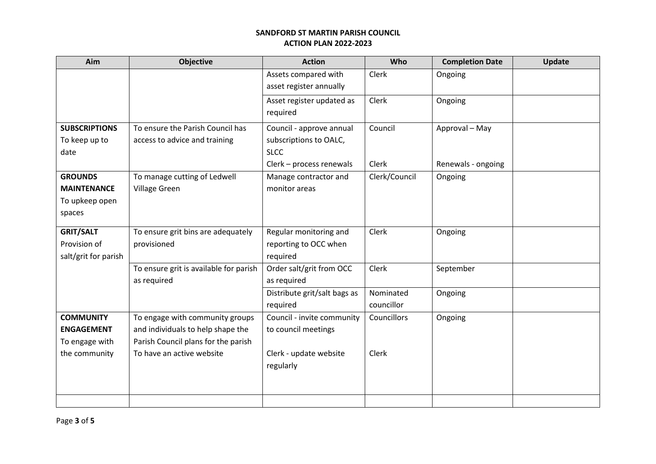| Aim                  | <b>Objective</b>                       | <b>Action</b>                | Who           | <b>Completion Date</b> | Update |
|----------------------|----------------------------------------|------------------------------|---------------|------------------------|--------|
|                      |                                        | Assets compared with         | Clerk         | Ongoing                |        |
|                      |                                        | asset register annually      |               |                        |        |
|                      |                                        | Asset register updated as    | Clerk         | Ongoing                |        |
|                      |                                        | required                     |               |                        |        |
| <b>SUBSCRIPTIONS</b> | To ensure the Parish Council has       | Council - approve annual     | Council       | Approval - May         |        |
| To keep up to        | access to advice and training          | subscriptions to OALC,       |               |                        |        |
| date                 |                                        | <b>SLCC</b>                  |               |                        |        |
|                      |                                        | Clerk - process renewals     | Clerk         | Renewals - ongoing     |        |
| <b>GROUNDS</b>       | To manage cutting of Ledwell           | Manage contractor and        | Clerk/Council | Ongoing                |        |
| <b>MAINTENANCE</b>   | Village Green                          | monitor areas                |               |                        |        |
| To upkeep open       |                                        |                              |               |                        |        |
| spaces               |                                        |                              |               |                        |        |
| <b>GRIT/SALT</b>     | To ensure grit bins are adequately     | Regular monitoring and       | Clerk         | Ongoing                |        |
| Provision of         | provisioned                            | reporting to OCC when        |               |                        |        |
| salt/grit for parish |                                        | required                     |               |                        |        |
|                      | To ensure grit is available for parish | Order salt/grit from OCC     | Clerk         | September              |        |
|                      | as required                            | as required                  |               |                        |        |
|                      |                                        | Distribute grit/salt bags as | Nominated     | Ongoing                |        |
|                      |                                        | required                     | councillor    |                        |        |
| <b>COMMUNITY</b>     | To engage with community groups        | Council - invite community   | Councillors   | Ongoing                |        |
| <b>ENGAGEMENT</b>    | and individuals to help shape the      | to council meetings          |               |                        |        |
| To engage with       | Parish Council plans for the parish    |                              |               |                        |        |
| the community        | To have an active website              | Clerk - update website       | Clerk         |                        |        |
|                      |                                        | regularly                    |               |                        |        |
|                      |                                        |                              |               |                        |        |
|                      |                                        |                              |               |                        |        |
|                      |                                        |                              |               |                        |        |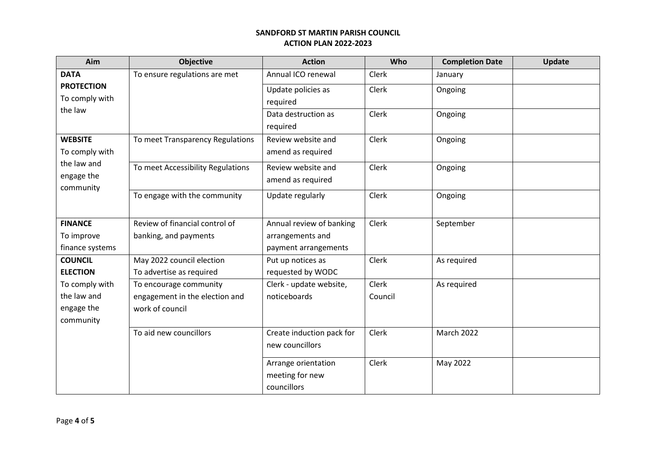| Aim                     | <b>Objective</b>                  | <b>Action</b>             | Who          | <b>Completion Date</b> | Update |
|-------------------------|-----------------------------------|---------------------------|--------------|------------------------|--------|
| <b>DATA</b>             | To ensure regulations are met     | Annual ICO renewal        | Clerk        | January                |        |
| <b>PROTECTION</b>       |                                   | Update policies as        | Clerk        | Ongoing                |        |
| To comply with          |                                   | required                  |              |                        |        |
| the law                 |                                   | Data destruction as       | Clerk        | Ongoing                |        |
|                         |                                   | required                  |              |                        |        |
| <b>WEBSITE</b>          | To meet Transparency Regulations  | Review website and        | <b>Clerk</b> | Ongoing                |        |
| To comply with          |                                   | amend as required         |              |                        |        |
| the law and             | To meet Accessibility Regulations | Review website and        | Clerk        | Ongoing                |        |
| engage the<br>community |                                   | amend as required         |              |                        |        |
|                         | To engage with the community      | Update regularly          | Clerk        | Ongoing                |        |
|                         |                                   |                           |              |                        |        |
| <b>FINANCE</b>          | Review of financial control of    | Annual review of banking  | Clerk        | September              |        |
| To improve              | banking, and payments             | arrangements and          |              |                        |        |
| finance systems         |                                   | payment arrangements      |              |                        |        |
| <b>COUNCIL</b>          | May 2022 council election         | Put up notices as         | Clerk        | As required            |        |
| <b>ELECTION</b>         | To advertise as required          | requested by WODC         |              |                        |        |
| To comply with          | To encourage community            | Clerk - update website,   | Clerk        | As required            |        |
| the law and             | engagement in the election and    | noticeboards              | Council      |                        |        |
| engage the              | work of council                   |                           |              |                        |        |
| community               |                                   |                           |              |                        |        |
|                         | To aid new councillors            | Create induction pack for | Clerk        | <b>March 2022</b>      |        |
|                         |                                   | new councillors           |              |                        |        |
|                         |                                   | Arrange orientation       | Clerk        | May 2022               |        |
|                         |                                   | meeting for new           |              |                        |        |
|                         |                                   | councillors               |              |                        |        |